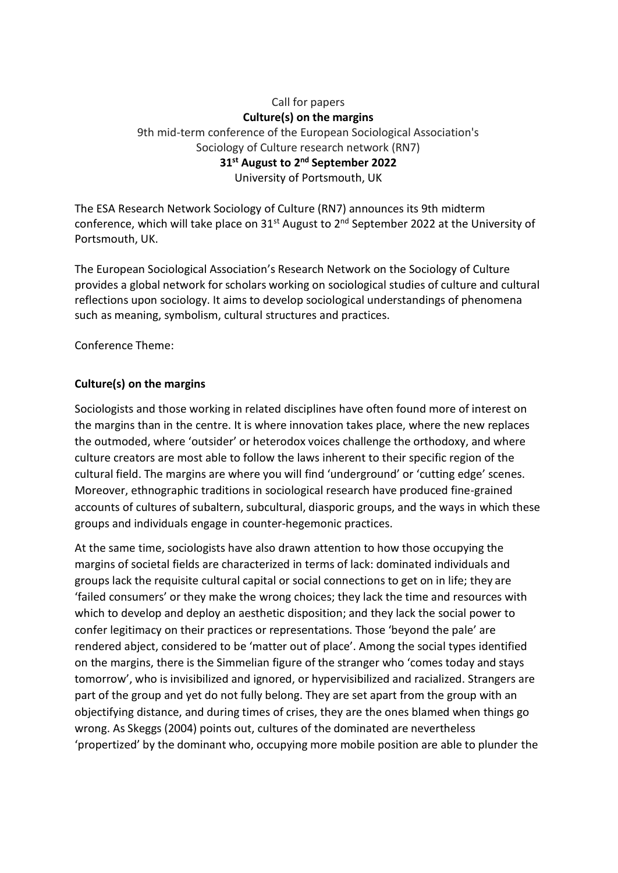## Call for papers **Culture(s) on the margins** 9th mid-term conference of the European Sociological Association's Sociology of Culture research network (RN7) **31st August to 2nd September 2022**

University of Portsmouth, UK

The ESA Research Network Sociology of Culture (RN7) announces its 9th midterm conference, which will take place on  $31^{st}$  August to  $2^{nd}$  September 2022 at the University of Portsmouth, UK.

The European Sociological Association's Research Network on the Sociology of Culture provides a global network for scholars working on sociological studies of culture and cultural reflections upon sociology. It aims to develop sociological understandings of phenomena such as meaning, symbolism, cultural structures and practices.

Conference Theme:

## **Culture(s) on the margins**

Sociologists and those working in related disciplines have often found more of interest on the margins than in the centre. It is where innovation takes place, where the new replaces the outmoded, where 'outsider' or heterodox voices challenge the orthodoxy, and where culture creators are most able to follow the laws inherent to their specific region of the cultural field. The margins are where you will find 'underground' or 'cutting edge' scenes. Moreover, ethnographic traditions in sociological research have produced fine-grained accounts of cultures of subaltern, subcultural, diasporic groups, and the ways in which these groups and individuals engage in counter-hegemonic practices.

At the same time, sociologists have also drawn attention to how those occupying the margins of societal fields are characterized in terms of lack: dominated individuals and groups lack the requisite cultural capital or social connections to get on in life; they are 'failed consumers' or they make the wrong choices; they lack the time and resources with which to develop and deploy an aesthetic disposition; and they lack the social power to confer legitimacy on their practices or representations. Those 'beyond the pale' are rendered abject, considered to be 'matter out of place'. Among the social types identified on the margins, there is the Simmelian figure of the stranger who 'comes today and stays tomorrow', who is invisibilized and ignored, or hypervisibilized and racialized. Strangers are part of the group and yet do not fully belong. They are set apart from the group with an objectifying distance, and during times of crises, they are the ones blamed when things go wrong. As Skeggs (2004) points out, cultures of the dominated are nevertheless 'propertized' by the dominant who, occupying more mobile position are able to plunder the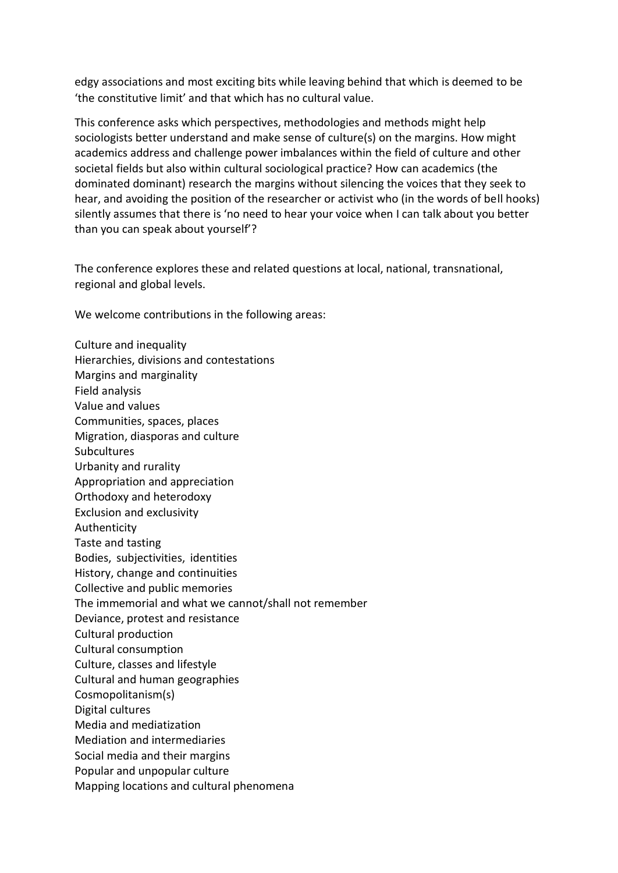edgy associations and most exciting bits while leaving behind that which is deemed to be 'the constitutive limit' and that which has no cultural value.

This conference asks which perspectives, methodologies and methods might help sociologists better understand and make sense of culture(s) on the margins. How might academics address and challenge power imbalances within the field of culture and other societal fields but also within cultural sociological practice? How can academics (the dominated dominant) research the margins without silencing the voices that they seek to hear, and avoiding the position of the researcher or activist who (in the words of bell hooks) silently assumes that there is 'no need to hear your voice when I can talk about you better than you can speak about yourself'?

The conference explores these and related questions at local, national, transnational, regional and global levels.

We welcome contributions in the following areas:

Culture and inequality Hierarchies, divisions and contestations Margins and marginality Field analysis Value and values Communities, spaces, places Migration, diasporas and culture **Subcultures** Urbanity and rurality Appropriation and appreciation Orthodoxy and heterodoxy Exclusion and exclusivity Authenticity Taste and tasting Bodies, subjectivities, identities History, change and continuities Collective and public memories The immemorial and what we cannot/shall not remember Deviance, protest and resistance Cultural production Cultural consumption Culture, classes and lifestyle Cultural and human geographies Cosmopolitanism(s) Digital cultures Media and mediatization Mediation and intermediaries Social media and their margins Popular and unpopular culture Mapping locations and cultural phenomena